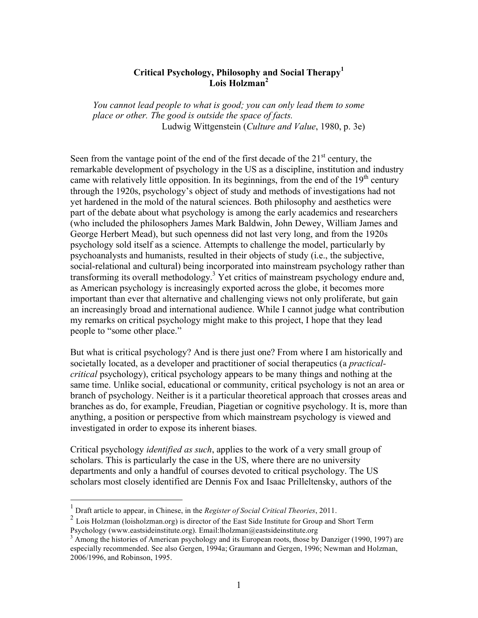# **Critical Psychology, Philosophy and Social Therapy1 Lois Holzman<sup>2</sup>**

*You cannot lead people to what is good; you can only lead them to some place or other. The good is outside the space of facts.* Ludwig Wittgenstein (*Culture and Value*, 1980, p. 3e)

Seen from the vantage point of the end of the first decade of the  $21<sup>st</sup>$  century, the remarkable development of psychology in the US as a discipline, institution and industry came with relatively little opposition. In its beginnings, from the end of the  $19<sup>th</sup>$  century through the 1920s, psychology's object of study and methods of investigations had not yet hardened in the mold of the natural sciences. Both philosophy and aesthetics were part of the debate about what psychology is among the early academics and researchers (who included the philosophers James Mark Baldwin, John Dewey, William James and George Herbert Mead), but such openness did not last very long, and from the 1920s psychology sold itself as a science. Attempts to challenge the model, particularly by psychoanalysts and humanists, resulted in their objects of study (i.e., the subjective, social-relational and cultural) being incorporated into mainstream psychology rather than transforming its overall methodology.<sup>3</sup> Yet critics of mainstream psychology endure and, as American psychology is increasingly exported across the globe, it becomes more important than ever that alternative and challenging views not only proliferate, but gain an increasingly broad and international audience. While I cannot judge what contribution my remarks on critical psychology might make to this project, I hope that they lead people to "some other place."

But what is critical psychology? And is there just one? From where I am historically and societally located, as a developer and practitioner of social therapeutics (a *practicalcritical* psychology), critical psychology appears to be many things and nothing at the same time. Unlike social, educational or community, critical psychology is not an area or branch of psychology. Neither is it a particular theoretical approach that crosses areas and branches as do, for example, Freudian, Piagetian or cognitive psychology. It is, more than anything, a position or perspective from which mainstream psychology is viewed and investigated in order to expose its inherent biases.

Critical psychology *identified as such*, applies to the work of a very small group of scholars. This is particularly the case in the US, where there are no university departments and only a handful of courses devoted to critical psychology. The US scholars most closely identified are Dennis Fox and Isaac Prilleltensky, authors of the

 $\frac{1}{1}$ Draft article to appear, in Chinese, in the *Register of Social Critical Theories*, 2011.

<sup>2</sup> Lois Holzman (loisholzman.org) is director of the East Side Institute for Group and Short Term Psychology (www.eastsideinstitute.org). Email:lholzman@eastsideinstitute.org 3

<sup>&</sup>lt;sup>3</sup> Among the histories of American psychology and its European roots, those by Danziger (1990, 1997) are especially recommended. See also Gergen, 1994a; Graumann and Gergen, 1996; Newman and Holzman, 2006/1996, and Robinson, 1995.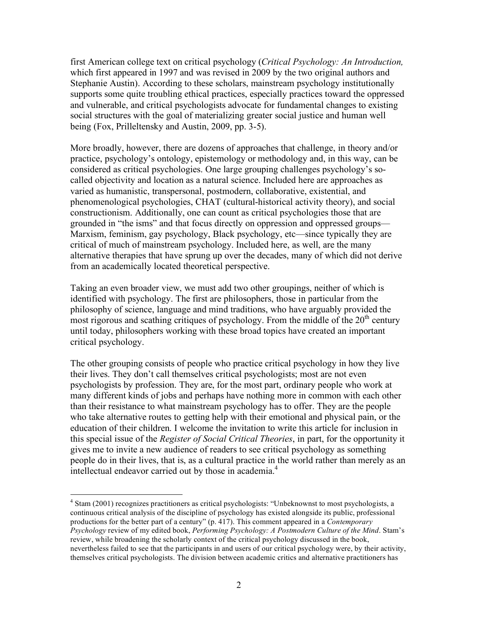first American college text on critical psychology (*Critical Psychology: An Introduction,*  which first appeared in 1997 and was revised in 2009 by the two original authors and Stephanie Austin). According to these scholars, mainstream psychology institutionally supports some quite troubling ethical practices, especially practices toward the oppressed and vulnerable, and critical psychologists advocate for fundamental changes to existing social structures with the goal of materializing greater social justice and human well being (Fox, Prilleltensky and Austin, 2009, pp. 3-5).

More broadly, however, there are dozens of approaches that challenge, in theory and/or practice, psychology's ontology, epistemology or methodology and, in this way, can be considered as critical psychologies. One large grouping challenges psychology's socalled objectivity and location as a natural science. Included here are approaches as varied as humanistic, transpersonal, postmodern, collaborative, existential, and phenomenological psychologies, CHAT (cultural-historical activity theory), and social constructionism. Additionally, one can count as critical psychologies those that are grounded in "the isms" and that focus directly on oppression and oppressed groups— Marxism, feminism, gay psychology, Black psychology, etc—since typically they are critical of much of mainstream psychology. Included here, as well, are the many alternative therapies that have sprung up over the decades, many of which did not derive from an academically located theoretical perspective.

Taking an even broader view, we must add two other groupings, neither of which is identified with psychology. The first are philosophers, those in particular from the philosophy of science, language and mind traditions, who have arguably provided the most rigorous and scathing critiques of psychology. From the middle of the  $20<sup>th</sup>$  century until today, philosophers working with these broad topics have created an important critical psychology.

The other grouping consists of people who practice critical psychology in how they live their lives. They don't call themselves critical psychologists; most are not even psychologists by profession. They are, for the most part, ordinary people who work at many different kinds of jobs and perhaps have nothing more in common with each other than their resistance to what mainstream psychology has to offer. They are the people who take alternative routes to getting help with their emotional and physical pain, or the education of their children. I welcome the invitation to write this article for inclusion in this special issue of the *Register of Social Critical Theories*, in part, for the opportunity it gives me to invite a new audience of readers to see critical psychology as something people do in their lives, that is, as a cultural practice in the world rather than merely as an intellectual endeavor carried out by those in academia. 4

 $\frac{1}{4}$ <sup>4</sup> Stam (2001) recognizes practitioners as critical psychologists: "Unbeknownst to most psychologists, a continuous critical analysis of the discipline of psychology has existed alongside its public, professional productions for the better part of a century" (p. 417). This comment appeared in a *Contemporary Psychology* review of my edited book, *Performing Psychology: A Postmodern Culture of the Mind*. Stam's review, while broadening the scholarly context of the critical psychology discussed in the book, nevertheless failed to see that the participants in and users of our critical psychology were, by their activity, themselves critical psychologists. The division between academic critics and alternative practitioners has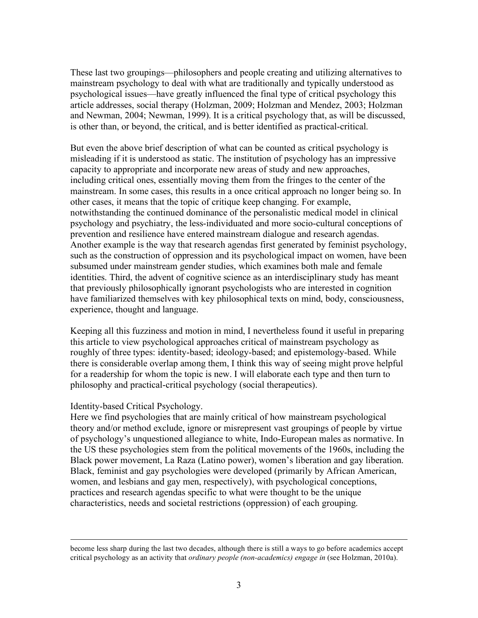These last two groupings—philosophers and people creating and utilizing alternatives to mainstream psychology to deal with what are traditionally and typically understood as psychological issues—have greatly influenced the final type of critical psychology this article addresses, social therapy (Holzman, 2009; Holzman and Mendez, 2003; Holzman and Newman, 2004; Newman, 1999). It is a critical psychology that, as will be discussed, is other than, or beyond, the critical, and is better identified as practical-critical.

But even the above brief description of what can be counted as critical psychology is misleading if it is understood as static. The institution of psychology has an impressive capacity to appropriate and incorporate new areas of study and new approaches, including critical ones, essentially moving them from the fringes to the center of the mainstream. In some cases, this results in a once critical approach no longer being so. In other cases, it means that the topic of critique keep changing. For example, notwithstanding the continued dominance of the personalistic medical model in clinical psychology and psychiatry, the less-individuated and more socio-cultural conceptions of prevention and resilience have entered mainstream dialogue and research agendas. Another example is the way that research agendas first generated by feminist psychology, such as the construction of oppression and its psychological impact on women, have been subsumed under mainstream gender studies, which examines both male and female identities. Third, the advent of cognitive science as an interdisciplinary study has meant that previously philosophically ignorant psychologists who are interested in cognition have familiarized themselves with key philosophical texts on mind, body, consciousness, experience, thought and language.

Keeping all this fuzziness and motion in mind, I nevertheless found it useful in preparing this article to view psychological approaches critical of mainstream psychology as roughly of three types: identity-based; ideology-based; and epistemology-based. While there is considerable overlap among them, I think this way of seeing might prove helpful for a readership for whom the topic is new. I will elaborate each type and then turn to philosophy and practical-critical psychology (social therapeutics).

### Identity-based Critical Psychology.

Here we find psychologies that are mainly critical of how mainstream psychological theory and/or method exclude, ignore or misrepresent vast groupings of people by virtue of psychology's unquestioned allegiance to white, Indo-European males as normative. In the US these psychologies stem from the political movements of the 1960s, including the Black power movement, La Raza (Latino power), women's liberation and gay liberation. Black, feminist and gay psychologies were developed (primarily by African American, women, and lesbians and gay men, respectively), with psychological conceptions, practices and research agendas specific to what were thought to be the unique characteristics, needs and societal restrictions (oppression) of each grouping.

become less sharp during the last two decades, although there is still a ways to go before academics accept critical psychology as an activity that *ordinary people (non-academics) engage in* (see Holzman, 2010a).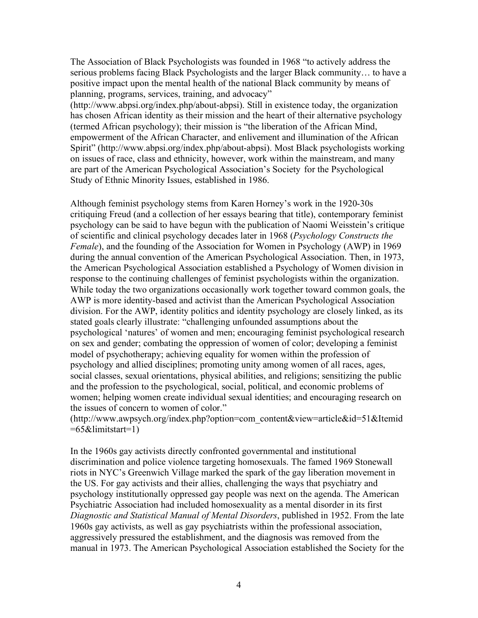The Association of Black Psychologists was founded in 1968 "to actively address the serious problems facing Black Psychologists and the larger Black community… to have a positive impact upon the mental health of the national Black community by means of planning, programs, services, training, and advocacy"

(http://www.abpsi.org/index.php/about-abpsi). Still in existence today, the organization has chosen African identity as their mission and the heart of their alternative psychology (termed African psychology); their mission is "the liberation of the African Mind, empowerment of the African Character, and enlivement and illumination of the African Spirit" (http://www.abpsi.org/index.php/about-abpsi). Most Black psychologists working on issues of race, class and ethnicity, however, work within the mainstream, and many are part of the American Psychological Association's Society for the Psychological Study of Ethnic Minority Issues, established in 1986.

Although feminist psychology stems from Karen Horney's work in the 1920-30s critiquing Freud (and a collection of her essays bearing that title), contemporary feminist psychology can be said to have begun with the publication of Naomi Weisstein's critique of scientific and clinical psychology decades later in 1968 (*Psychology Constructs the Female*), and the founding of the Association for Women in Psychology (AWP) in 1969 during the annual convention of the American Psychological Association. Then, in 1973, the American Psychological Association established a Psychology of Women division in response to the continuing challenges of feminist psychologists within the organization. While today the two organizations occasionally work together toward common goals, the AWP is more identity-based and activist than the American Psychological Association division. For the AWP, identity politics and identity psychology are closely linked, as its stated goals clearly illustrate: "challenging unfounded assumptions about the psychological 'natures' of women and men; encouraging feminist psychological research on sex and gender; combating the oppression of women of color; developing a feminist model of psychotherapy; achieving equality for women within the profession of psychology and allied disciplines; promoting unity among women of all races, ages, social classes, sexual orientations, physical abilities, and religions; sensitizing the public and the profession to the psychological, social, political, and economic problems of women; helping women create individual sexual identities; and encouraging research on the issues of concern to women of color."

(http://www.awpsych.org/index.php?option=com\_content&view=article&id=51&Itemid  $=65\&$ limitstart=1)

In the 1960s gay activists directly confronted governmental and institutional discrimination and police violence targeting homosexuals. The famed 1969 Stonewall riots in NYC's Greenwich Village marked the spark of the gay liberation movement in the US. For gay activists and their allies, challenging the ways that psychiatry and psychology institutionally oppressed gay people was next on the agenda. The American Psychiatric Association had included homosexuality as a mental disorder in its first *Diagnostic and Statistical Manual of Mental Disorders*, published in 1952. From the late 1960s gay activists, as well as gay psychiatrists within the professional association, aggressively pressured the establishment, and the diagnosis was removed from the manual in 1973. The American Psychological Association established the Society for the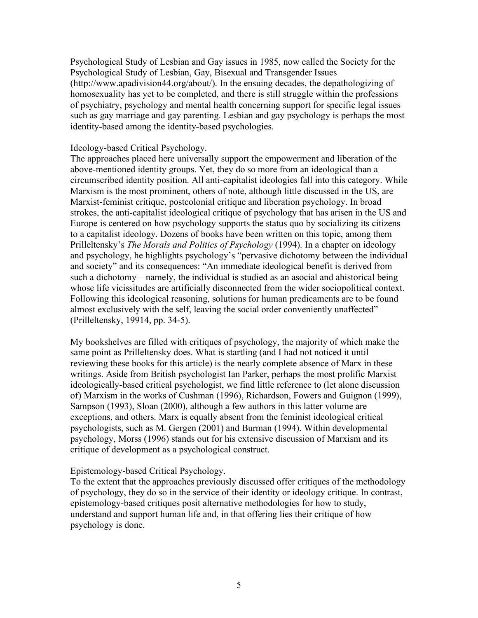Psychological Study of Lesbian and Gay issues in 1985, now called the Society for the Psychological Study of Lesbian, Gay, Bisexual and Transgender Issues (http://www.apadivision44.org/about/). In the ensuing decades, the depathologizing of homosexuality has yet to be completed, and there is still struggle within the professions of psychiatry, psychology and mental health concerning support for specific legal issues such as gay marriage and gay parenting. Lesbian and gay psychology is perhaps the most identity-based among the identity-based psychologies.

### Ideology-based Critical Psychology.

The approaches placed here universally support the empowerment and liberation of the above-mentioned identity groups. Yet, they do so more from an ideological than a circumscribed identity position. All anti-capitalist ideologies fall into this category. While Marxism is the most prominent, others of note, although little discussed in the US, are Marxist-feminist critique, postcolonial critique and liberation psychology. In broad strokes, the anti-capitalist ideological critique of psychology that has arisen in the US and Europe is centered on how psychology supports the status quo by socializing its citizens to a capitalist ideology. Dozens of books have been written on this topic, among them Prilleltensky's *The Morals and Politics of Psychology* (1994). In a chapter on ideology and psychology, he highlights psychology's "pervasive dichotomy between the individual and society" and its consequences: "An immediate ideological benefit is derived from such a dichotomy—namely, the individual is studied as an asocial and ahistorical being whose life vicissitudes are artificially disconnected from the wider sociopolitical context. Following this ideological reasoning, solutions for human predicaments are to be found almost exclusively with the self, leaving the social order conveniently unaffected" (Prilleltensky, 19914, pp. 34-5).

My bookshelves are filled with critiques of psychology, the majority of which make the same point as Prilleltensky does. What is startling (and I had not noticed it until reviewing these books for this article) is the nearly complete absence of Marx in these writings. Aside from British psychologist Ian Parker, perhaps the most prolific Marxist ideologically-based critical psychologist, we find little reference to (let alone discussion of) Marxism in the works of Cushman (1996), Richardson, Fowers and Guignon (1999), Sampson (1993), Sloan (2000), although a few authors in this latter volume are exceptions, and others. Marx is equally absent from the feminist ideological critical psychologists, such as M. Gergen (2001) and Burman (1994). Within developmental psychology, Morss (1996) stands out for his extensive discussion of Marxism and its critique of development as a psychological construct.

### Epistemology-based Critical Psychology.

To the extent that the approaches previously discussed offer critiques of the methodology of psychology, they do so in the service of their identity or ideology critique. In contrast, epistemology-based critiques posit alternative methodologies for how to study, understand and support human life and, in that offering lies their critique of how psychology is done.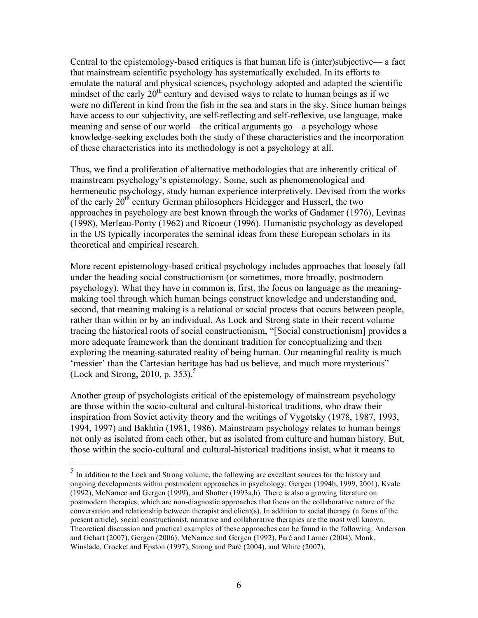Central to the epistemology-based critiques is that human life is (inter)subjective— a fact that mainstream scientific psychology has systematically excluded. In its efforts to emulate the natural and physical sciences, psychology adopted and adapted the scientific mindset of the early  $20<sup>th</sup>$  century and devised ways to relate to human beings as if we were no different in kind from the fish in the sea and stars in the sky. Since human beings have access to our subjectivity, are self-reflecting and self-reflexive, use language, make meaning and sense of our world—the critical arguments go—a psychology whose knowledge-seeking excludes both the study of these characteristics and the incorporation of these characteristics into its methodology is not a psychology at all.

Thus, we find a proliferation of alternative methodologies that are inherently critical of mainstream psychology's epistemology. Some, such as phenomenological and hermeneutic psychology, study human experience interpretively. Devised from the works of the early  $20<sup>th</sup>$  century German philosophers Heidegger and Husserl, the two approaches in psychology are best known through the works of Gadamer (1976), Levinas (1998), Merleau-Ponty (1962) and Ricoeur (1996). Humanistic psychology as developed in the US typically incorporates the seminal ideas from these European scholars in its theoretical and empirical research.

More recent epistemology-based critical psychology includes approaches that loosely fall under the heading social constructionism (or sometimes, more broadly, postmodern psychology). What they have in common is, first, the focus on language as the meaningmaking tool through which human beings construct knowledge and understanding and, second, that meaning making is a relational or social process that occurs between people, rather than within or by an individual. As Lock and Strong state in their recent volume tracing the historical roots of social constructionism, "[Social constructionism] provides a more adequate framework than the dominant tradition for conceptualizing and then exploring the meaning-saturated reality of being human. Our meaningful reality is much 'messier' than the Cartesian heritage has had us believe, and much more mysterious" (Lock and Strong, 2010, p. 353). $5$ 

Another group of psychologists critical of the epistemology of mainstream psychology are those within the socio-cultural and cultural-historical traditions, who draw their inspiration from Soviet activity theory and the writings of Vygotsky (1978, 1987, 1993, 1994, 1997) and Bakhtin (1981, 1986). Mainstream psychology relates to human beings not only as isolated from each other, but as isolated from culture and human history. But, those within the socio-cultural and cultural-historical traditions insist, what it means to

 <sup>5</sup> In addition to the Lock and Strong volume, the following are excellent sources for the history and ongoing developments within postmodern approaches in psychology: Gergen (1994b, 1999, 2001), Kvale (1992), McNamee and Gergen (1999), and Shotter (1993a,b). There is also a growing literature on postmodern therapies, which are non-diagnostic approaches that focus on the collaborative nature of the conversation and relationship between therapist and client(s). In addition to social therapy (a focus of the present article), social constructionist, narrative and collaborative therapies are the most well known. Theoretical discussion and practical examples of these approaches can be found in the following: Anderson and Gehart (2007), Gergen (2006), McNamee and Gergen (1992), Paré and Larner (2004), Monk, Winslade, Crocket and Epston (1997), Strong and Paré (2004), and White (2007),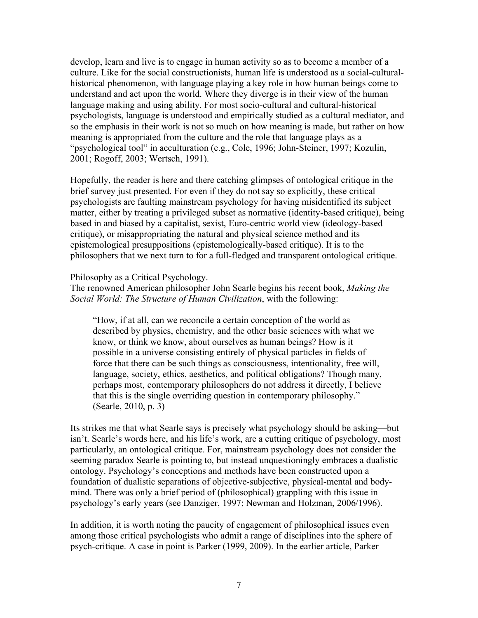develop, learn and live is to engage in human activity so as to become a member of a culture. Like for the social constructionists, human life is understood as a social-culturalhistorical phenomenon, with language playing a key role in how human beings come to understand and act upon the world. Where they diverge is in their view of the human language making and using ability. For most socio-cultural and cultural-historical psychologists, language is understood and empirically studied as a cultural mediator, and so the emphasis in their work is not so much on how meaning is made, but rather on how meaning is appropriated from the culture and the role that language plays as a "psychological tool" in acculturation (e.g., Cole, 1996; John-Steiner, 1997; Kozulin, 2001; Rogoff, 2003; Wertsch, 1991).

Hopefully, the reader is here and there catching glimpses of ontological critique in the brief survey just presented. For even if they do not say so explicitly, these critical psychologists are faulting mainstream psychology for having misidentified its subject matter, either by treating a privileged subset as normative (identity-based critique), being based in and biased by a capitalist, sexist, Euro-centric world view (ideology-based critique), or misappropriating the natural and physical science method and its epistemological presuppositions (epistemologically-based critique). It is to the philosophers that we next turn to for a full-fledged and transparent ontological critique.

### Philosophy as a Critical Psychology.

The renowned American philosopher John Searle begins his recent book, *Making the Social World: The Structure of Human Civilization*, with the following:

"How, if at all, can we reconcile a certain conception of the world as described by physics, chemistry, and the other basic sciences with what we know, or think we know, about ourselves as human beings? How is it possible in a universe consisting entirely of physical particles in fields of force that there can be such things as consciousness, intentionality, free will, language, society, ethics, aesthetics, and political obligations? Though many, perhaps most, contemporary philosophers do not address it directly, I believe that this is the single overriding question in contemporary philosophy." (Searle, 2010, p. 3)

Its strikes me that what Searle says is precisely what psychology should be asking—but isn't. Searle's words here, and his life's work, are a cutting critique of psychology, most particularly, an ontological critique. For, mainstream psychology does not consider the seeming paradox Searle is pointing to, but instead unquestioningly embraces a dualistic ontology. Psychology's conceptions and methods have been constructed upon a foundation of dualistic separations of objective-subjective, physical-mental and bodymind. There was only a brief period of (philosophical) grappling with this issue in psychology's early years (see Danziger, 1997; Newman and Holzman, 2006/1996).

In addition, it is worth noting the paucity of engagement of philosophical issues even among those critical psychologists who admit a range of disciplines into the sphere of psych-critique. A case in point is Parker (1999, 2009). In the earlier article, Parker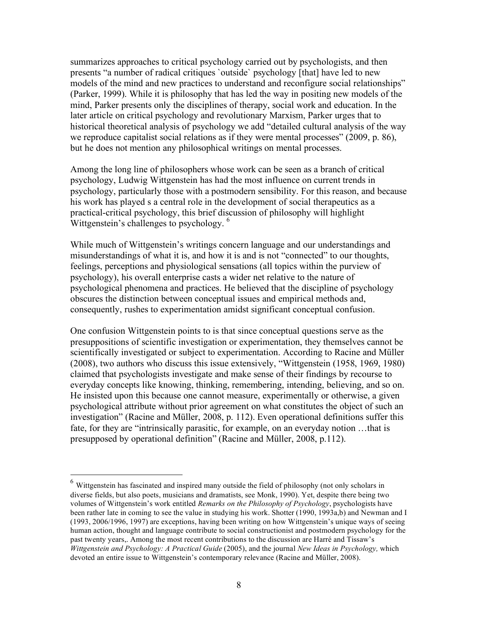summarizes approaches to critical psychology carried out by psychologists, and then presents "a number of radical critiques `outside` psychology [that] have led to new models of the mind and new practices to understand and reconfigure social relationships" (Parker, 1999). While it is philosophy that has led the way in positing new models of the mind, Parker presents only the disciplines of therapy, social work and education. In the later article on critical psychology and revolutionary Marxism, Parker urges that to historical theoretical analysis of psychology we add "detailed cultural analysis of the way we reproduce capitalist social relations as if they were mental processes" (2009, p. 86), but he does not mention any philosophical writings on mental processes.

Among the long line of philosophers whose work can be seen as a branch of critical psychology, Ludwig Wittgenstein has had the most influence on current trends in psychology, particularly those with a postmodern sensibility. For this reason, and because his work has played s a central role in the development of social therapeutics as a practical-critical psychology, this brief discussion of philosophy will highlight Wittgenstein's challenges to psychology.<sup>6</sup>

While much of Wittgenstein's writings concern language and our understandings and misunderstandings of what it is, and how it is and is not "connected" to our thoughts, feelings, perceptions and physiological sensations (all topics within the purview of psychology), his overall enterprise casts a wider net relative to the nature of psychological phenomena and practices. He believed that the discipline of psychology obscures the distinction between conceptual issues and empirical methods and, consequently, rushes to experimentation amidst significant conceptual confusion.

One confusion Wittgenstein points to is that since conceptual questions serve as the presuppositions of scientific investigation or experimentation, they themselves cannot be scientifically investigated or subject to experimentation. According to Racine and Müller (2008), two authors who discuss this issue extensively, "Wittgenstein (1958, 1969, 1980) claimed that psychologists investigate and make sense of their findings by recourse to everyday concepts like knowing, thinking, remembering, intending, believing, and so on. He insisted upon this because one cannot measure, experimentally or otherwise, a given psychological attribute without prior agreement on what constitutes the object of such an investigation" (Racine and Müller, 2008, p. 112). Even operational definitions suffer this fate, for they are "intrinsically parasitic, for example, on an everyday notion …that is presupposed by operational definition" (Racine and Müller, 2008, p.112).

 <sup>6</sup> Wittgenstein has fascinated and inspired many outside the field of philosophy (not only scholars in diverse fields, but also poets, musicians and dramatists, see Monk, 1990). Yet, despite there being two volumes of Wittgenstein's work entitled *Remarks on the Philosophy of Psychology*, psychologists have been rather late in coming to see the value in studying his work. Shotter (1990, 1993a,b) and Newman and I (1993, 2006/1996, 1997) are exceptions, having been writing on how Wittgenstein's unique ways of seeing human action, thought and language contribute to social constructionist and postmodern psychology for the past twenty years,. Among the most recent contributions to the discussion are Harré and Tissaw's *Wittgenstein and Psychology: A Practical Guide* (2005), and the journal *New Ideas in Psychology,* which devoted an entire issue to Wittgenstein's contemporary relevance (Racine and Müller, 2008).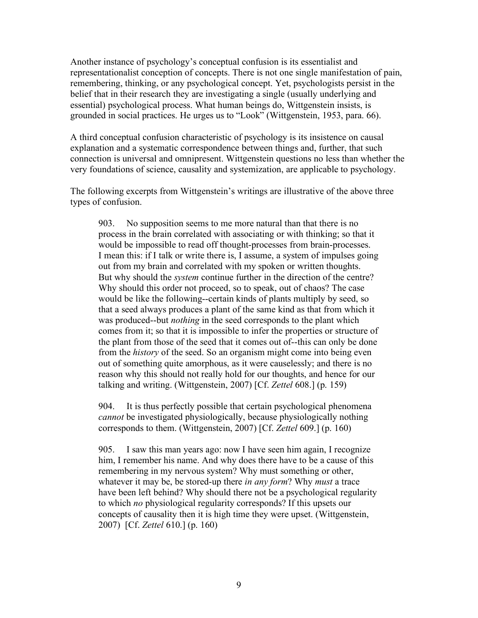Another instance of psychology's conceptual confusion is its essentialist and representationalist conception of concepts. There is not one single manifestation of pain, remembering, thinking, or any psychological concept. Yet, psychologists persist in the belief that in their research they are investigating a single (usually underlying and essential) psychological process. What human beings do, Wittgenstein insists, is grounded in social practices. He urges us to "Look" (Wittgenstein, 1953, para. 66).

A third conceptual confusion characteristic of psychology is its insistence on causal explanation and a systematic correspondence between things and, further, that such connection is universal and omnipresent. Wittgenstein questions no less than whether the very foundations of science, causality and systemization, are applicable to psychology.

The following excerpts from Wittgenstein's writings are illustrative of the above three types of confusion.

903. No supposition seems to me more natural than that there is no process in the brain correlated with associating or with thinking; so that it would be impossible to read off thought-processes from brain-processes. I mean this: if I talk or write there is, I assume, a system of impulses going out from my brain and correlated with my spoken or written thoughts. But why should the *system* continue further in the direction of the centre? Why should this order not proceed, so to speak, out of chaos? The case would be like the following--certain kinds of plants multiply by seed, so that a seed always produces a plant of the same kind as that from which it was produced--but *nothing* in the seed corresponds to the plant which comes from it; so that it is impossible to infer the properties or structure of the plant from those of the seed that it comes out of--this can only be done from the *history* of the seed. So an organism might come into being even out of something quite amorphous, as it were causelessly; and there is no reason why this should not really hold for our thoughts, and hence for our talking and writing. (Wittgenstein, 2007) [Cf. *Zettel* 608.] (p. 159)

904. It is thus perfectly possible that certain psychological phenomena *cannot* be investigated physiologically, because physiologically nothing corresponds to them. (Wittgenstein, 2007) [Cf. *Zettel* 609.] (p. 160)

905. I saw this man years ago: now I have seen him again, I recognize him, I remember his name. And why does there have to be a cause of this remembering in my nervous system? Why must something or other, whatever it may be, be stored-up there *in any form*? Why *must* a trace have been left behind? Why should there not be a psychological regularity to which *no* physiological regularity corresponds? If this upsets our concepts of causality then it is high time they were upset. (Wittgenstein, 2007) [Cf. *Zettel* 610.] (p. 160)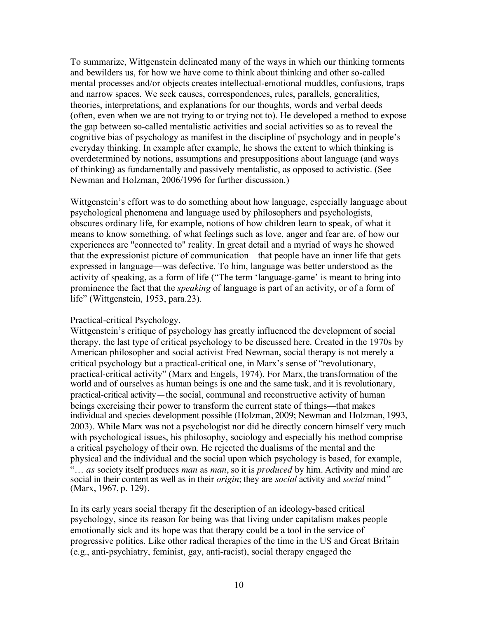To summarize, Wittgenstein delineated many of the ways in which our thinking torments and bewilders us, for how we have come to think about thinking and other so-called mental processes and/or objects creates intellectual-emotional muddles, confusions, traps and narrow spaces. We seek causes, correspondences, rules, parallels, generalities, theories, interpretations, and explanations for our thoughts, words and verbal deeds (often, even when we are not trying to or trying not to). He developed a method to expose the gap between so-called mentalistic activities and social activities so as to reveal the cognitive bias of psychology as manifest in the discipline of psychology and in people's everyday thinking. In example after example, he shows the extent to which thinking is overdetermined by notions, assumptions and presuppositions about language (and ways of thinking) as fundamentally and passively mentalistic, as opposed to activistic. (See Newman and Holzman, 2006/1996 for further discussion.)

Wittgenstein's effort was to do something about how language, especially language about psychological phenomena and language used by philosophers and psychologists, obscures ordinary life, for example, notions of how children learn to speak, of what it means to know something, of what feelings such as love, anger and fear are, of how our experiences are "connected to" reality. In great detail and a myriad of ways he showed that the expressionist picture of communication—that people have an inner life that gets expressed in language—was defective. To him, language was better understood as the activity of speaking, as a form of life ("The term 'language-game' is meant to bring into prominence the fact that the *speaking* of language is part of an activity, or of a form of life" (Wittgenstein, 1953, para.23).

## Practical-critical Psychology.

Wittgenstein's critique of psychology has greatly influenced the development of social therapy, the last type of critical psychology to be discussed here. Created in the 1970s by American philosopher and social activist Fred Newman, social therapy is not merely a critical psychology but a practical-critical one, in Marx's sense of "revolutionary, practical-critical activity" (Marx and Engels, 1974). For Marx, the transformation of the world and of ourselves as human beings is one and the same task, and it is revolutionary, practical-critical activity—the social, communal and reconstructive activity of human beings exercising their power to transform the current state of things—that makes individual and species development possible (Holzman, 2009; Newman and Holzman, 1993, 2003). While Marx was not a psychologist nor did he directly concern himself very much with psychological issues, his philosophy, sociology and especially his method comprise a critical psychology of their own. He rejected the dualisms of the mental and the physical and the individual and the social upon which psychology is based, for example, "… *as* society itself produces *man* as *man*, so it is *produced* by him. Activity and mind are social in their content as well as in their *origin*; they are *social* activity and *social* mind" (Marx, 1967, p. 129).

In its early years social therapy fit the description of an ideology-based critical psychology, since its reason for being was that living under capitalism makes people emotionally sick and its hope was that therapy could be a tool in the service of progressive politics. Like other radical therapies of the time in the US and Great Britain (e.g., anti-psychiatry, feminist, gay, anti-racist), social therapy engaged the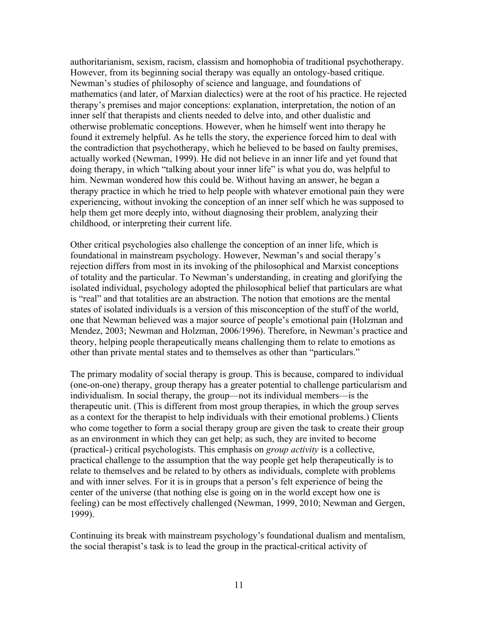authoritarianism, sexism, racism, classism and homophobia of traditional psychotherapy. However, from its beginning social therapy was equally an ontology-based critique. Newman's studies of philosophy of science and language, and foundations of mathematics (and later, of Marxian dialectics) were at the root of his practice. He rejected therapy's premises and major conceptions: explanation, interpretation, the notion of an inner self that therapists and clients needed to delve into, and other dualistic and otherwise problematic conceptions. However, when he himself went into therapy he found it extremely helpful. As he tells the story, the experience forced him to deal with the contradiction that psychotherapy, which he believed to be based on faulty premises, actually worked (Newman, 1999). He did not believe in an inner life and yet found that doing therapy, in which "talking about your inner life" is what you do, was helpful to him. Newman wondered how this could be. Without having an answer, he began a therapy practice in which he tried to help people with whatever emotional pain they were experiencing, without invoking the conception of an inner self which he was supposed to help them get more deeply into, without diagnosing their problem, analyzing their childhood, or interpreting their current life.

Other critical psychologies also challenge the conception of an inner life, which is foundational in mainstream psychology. However, Newman's and social therapy's rejection differs from most in its invoking of the philosophical and Marxist conceptions of totality and the particular. To Newman's understanding, in creating and glorifying the isolated individual, psychology adopted the philosophical belief that particulars are what is "real" and that totalities are an abstraction. The notion that emotions are the mental states of isolated individuals is a version of this misconception of the stuff of the world, one that Newman believed was a major source of people's emotional pain (Holzman and Mendez, 2003; Newman and Holzman, 2006/1996). Therefore, in Newman's practice and theory, helping people therapeutically means challenging them to relate to emotions as other than private mental states and to themselves as other than "particulars."

The primary modality of social therapy is group. This is because, compared to individual (one-on-one) therapy, group therapy has a greater potential to challenge particularism and individualism. In social therapy, the group—not its individual members—is the therapeutic unit. (This is different from most group therapies, in which the group serves as a context for the therapist to help individuals with their emotional problems.) Clients who come together to form a social therapy group are given the task to create their group as an environment in which they can get help; as such, they are invited to become (practical-) critical psychologists. This emphasis on *group activity* is a collective, practical challenge to the assumption that the way people get help therapeutically is to relate to themselves and be related to by others as individuals, complete with problems and with inner selves. For it is in groups that a person's felt experience of being the center of the universe (that nothing else is going on in the world except how one is feeling) can be most effectively challenged (Newman, 1999, 2010; Newman and Gergen, 1999).

Continuing its break with mainstream psychology's foundational dualism and mentalism, the social therapist's task is to lead the group in the practical-critical activity of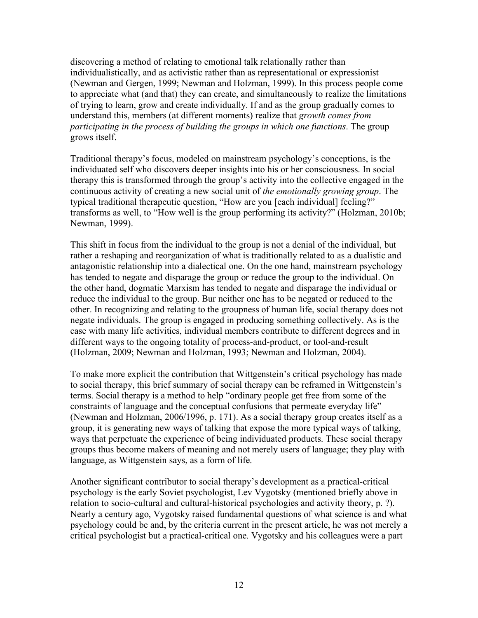discovering a method of relating to emotional talk relationally rather than individualistically, and as activistic rather than as representational or expressionist (Newman and Gergen, 1999; Newman and Holzman, 1999). In this process people come to appreciate what (and that) they can create, and simultaneously to realize the limitations of trying to learn, grow and create individually. If and as the group gradually comes to understand this, members (at different moments) realize that *growth comes from participating in the process of building the groups in which one functions*. The group grows itself.

Traditional therapy's focus, modeled on mainstream psychology's conceptions, is the individuated self who discovers deeper insights into his or her consciousness. In social therapy this is transformed through the group's activity into the collective engaged in the continuous activity of creating a new social unit of *the emotionally growing group*. The typical traditional therapeutic question, "How are you [each individual] feeling?" transforms as well, to "How well is the group performing its activity?" (Holzman, 2010b; Newman, 1999).

This shift in focus from the individual to the group is not a denial of the individual, but rather a reshaping and reorganization of what is traditionally related to as a dualistic and antagonistic relationship into a dialectical one. On the one hand, mainstream psychology has tended to negate and disparage the group or reduce the group to the individual. On the other hand, dogmatic Marxism has tended to negate and disparage the individual or reduce the individual to the group. Bur neither one has to be negated or reduced to the other. In recognizing and relating to the groupness of human life, social therapy does not negate individuals. The group is engaged in producing something collectively. As is the case with many life activities, individual members contribute to different degrees and in different ways to the ongoing totality of process-and-product, or tool-and-result (Holzman, 2009; Newman and Holzman, 1993; Newman and Holzman, 2004).

To make more explicit the contribution that Wittgenstein's critical psychology has made to social therapy, this brief summary of social therapy can be reframed in Wittgenstein's terms. Social therapy is a method to help "ordinary people get free from some of the constraints of language and the conceptual confusions that permeate everyday life" (Newman and Holzman, 2006/1996, p. 171). As a social therapy group creates itself as a group, it is generating new ways of talking that expose the more typical ways of talking, ways that perpetuate the experience of being individuated products. These social therapy groups thus become makers of meaning and not merely users of language; they play with language, as Wittgenstein says, as a form of life.

Another significant contributor to social therapy's development as a practical-critical psychology is the early Soviet psychologist, Lev Vygotsky (mentioned briefly above in relation to socio-cultural and cultural-historical psychologies and activity theory, p. ?). Nearly a century ago, Vygotsky raised fundamental questions of what science is and what psychology could be and, by the criteria current in the present article, he was not merely a critical psychologist but a practical-critical one. Vygotsky and his colleagues were a part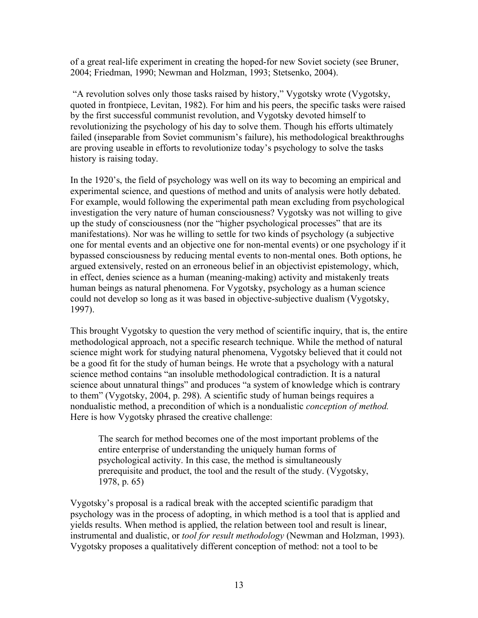of a great real-life experiment in creating the hoped-for new Soviet society (see Bruner, 2004; Friedman, 1990; Newman and Holzman, 1993; Stetsenko, 2004).

 "A revolution solves only those tasks raised by history," Vygotsky wrote (Vygotsky, quoted in frontpiece, Levitan, 1982). For him and his peers, the specific tasks were raised by the first successful communist revolution, and Vygotsky devoted himself to revolutionizing the psychology of his day to solve them. Though his efforts ultimately failed (inseparable from Soviet communism's failure), his methodological breakthroughs are proving useable in efforts to revolutionize today's psychology to solve the tasks history is raising today.

In the 1920's, the field of psychology was well on its way to becoming an empirical and experimental science, and questions of method and units of analysis were hotly debated. For example, would following the experimental path mean excluding from psychological investigation the very nature of human consciousness? Vygotsky was not willing to give up the study of consciousness (nor the "higher psychological processes" that are its manifestations). Nor was he willing to settle for two kinds of psychology (a subjective one for mental events and an objective one for non-mental events) or one psychology if it bypassed consciousness by reducing mental events to non-mental ones. Both options, he argued extensively, rested on an erroneous belief in an objectivist epistemology, which, in effect, denies science as a human (meaning-making) activity and mistakenly treats human beings as natural phenomena. For Vygotsky, psychology as a human science could not develop so long as it was based in objective-subjective dualism (Vygotsky, 1997).

This brought Vygotsky to question the very method of scientific inquiry, that is, the entire methodological approach, not a specific research technique. While the method of natural science might work for studying natural phenomena, Vygotsky believed that it could not be a good fit for the study of human beings. He wrote that a psychology with a natural science method contains "an insoluble methodological contradiction. It is a natural science about unnatural things" and produces "a system of knowledge which is contrary to them" (Vygotsky, 2004, p. 298). A scientific study of human beings requires a nondualistic method, a precondition of which is a nondualistic *conception of method.* Here is how Vygotsky phrased the creative challenge:

The search for method becomes one of the most important problems of the entire enterprise of understanding the uniquely human forms of psychological activity. In this case, the method is simultaneously prerequisite and product, the tool and the result of the study. (Vygotsky, 1978, p. 65)

Vygotsky's proposal is a radical break with the accepted scientific paradigm that psychology was in the process of adopting, in which method is a tool that is applied and yields results. When method is applied, the relation between tool and result is linear, instrumental and dualistic, or *tool for result methodology* (Newman and Holzman, 1993). Vygotsky proposes a qualitatively different conception of method: not a tool to be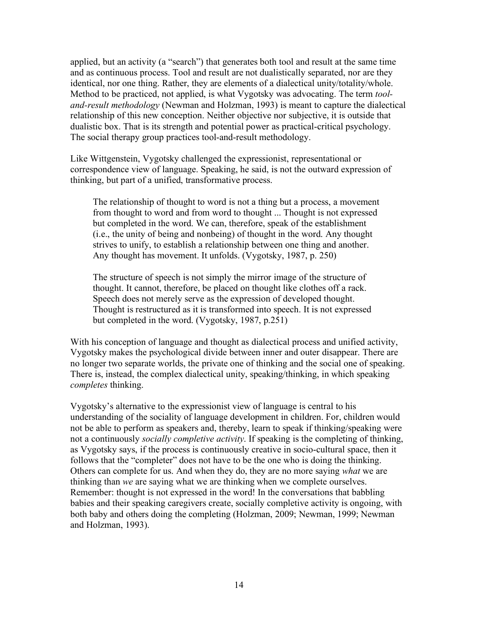applied, but an activity (a "search") that generates both tool and result at the same time and as continuous process. Tool and result are not dualistically separated, nor are they identical, nor one thing. Rather, they are elements of a dialectical unity/totality/whole. Method to be practiced, not applied, is what Vygotsky was advocating. The term *tooland-result methodology* (Newman and Holzman, 1993) is meant to capture the dialectical relationship of this new conception. Neither objective nor subjective, it is outside that dualistic box. That is its strength and potential power as practical-critical psychology. The social therapy group practices tool-and-result methodology.

Like Wittgenstein, Vygotsky challenged the expressionist, representational or correspondence view of language. Speaking, he said, is not the outward expression of thinking, but part of a unified, transformative process.

The relationship of thought to word is not a thing but a process, a movement from thought to word and from word to thought ... Thought is not expressed but completed in the word. We can, therefore, speak of the establishment (i.e., the unity of being and nonbeing) of thought in the word. Any thought strives to unify, to establish a relationship between one thing and another. Any thought has movement. It unfolds. (Vygotsky, 1987, p. 250)

The structure of speech is not simply the mirror image of the structure of thought. It cannot, therefore, be placed on thought like clothes off a rack. Speech does not merely serve as the expression of developed thought. Thought is restructured as it is transformed into speech. It is not expressed but completed in the word. (Vygotsky, 1987, p.251)

With his conception of language and thought as dialectical process and unified activity, Vygotsky makes the psychological divide between inner and outer disappear. There are no longer two separate worlds, the private one of thinking and the social one of speaking. There is, instead, the complex dialectical unity, speaking/thinking, in which speaking *completes* thinking.

Vygotsky's alternative to the expressionist view of language is central to his understanding of the sociality of language development in children. For, children would not be able to perform as speakers and, thereby, learn to speak if thinking/speaking were not a continuously *socially completive activity*. If speaking is the completing of thinking, as Vygotsky says, if the process is continuously creative in socio-cultural space, then it follows that the "completer" does not have to be the one who is doing the thinking. Others can complete for us. And when they do, they are no more saying *what* we are thinking than *we* are saying what we are thinking when we complete ourselves. Remember: thought is not expressed in the word! In the conversations that babbling babies and their speaking caregivers create, socially completive activity is ongoing, with both baby and others doing the completing (Holzman, 2009; Newman, 1999; Newman and Holzman, 1993).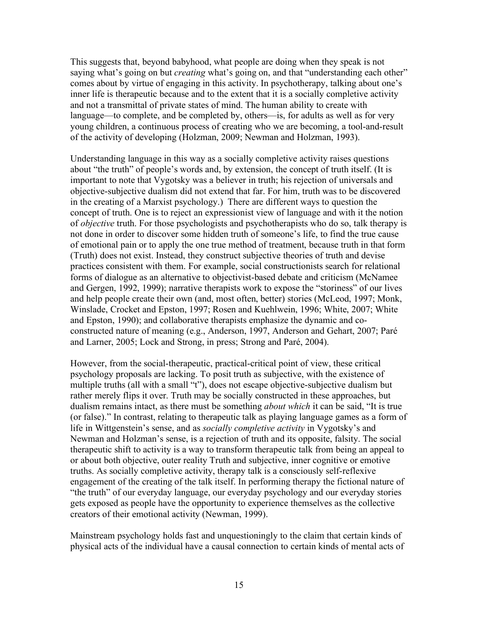This suggests that, beyond babyhood, what people are doing when they speak is not saying what's going on but *creating* what's going on, and that "understanding each other" comes about by virtue of engaging in this activity. In psychotherapy, talking about one's inner life is therapeutic because and to the extent that it is a socially completive activity and not a transmittal of private states of mind. The human ability to create with language—to complete, and be completed by, others—is, for adults as well as for very young children, a continuous process of creating who we are becoming, a tool-and-result of the activity of developing (Holzman, 2009; Newman and Holzman, 1993).

Understanding language in this way as a socially completive activity raises questions about "the truth" of people's words and, by extension, the concept of truth itself. (It is important to note that Vygotsky was a believer in truth; his rejection of universals and objective-subjective dualism did not extend that far. For him, truth was to be discovered in the creating of a Marxist psychology.) There are different ways to question the concept of truth. One is to reject an expressionist view of language and with it the notion of *objective* truth. For those psychologists and psychotherapists who do so, talk therapy is not done in order to discover some hidden truth of someone's life, to find the true cause of emotional pain or to apply the one true method of treatment, because truth in that form (Truth) does not exist. Instead, they construct subjective theories of truth and devise practices consistent with them. For example, social constructionists search for relational forms of dialogue as an alternative to objectivist-based debate and criticism (McNamee and Gergen, 1992, 1999); narrative therapists work to expose the "storiness" of our lives and help people create their own (and, most often, better) stories (McLeod, 1997; Monk, Winslade, Crocket and Epston, 1997; Rosen and Kuehlwein, 1996; White, 2007; White and Epston, 1990); and collaborative therapists emphasize the dynamic and coconstructed nature of meaning (e.g., Anderson, 1997, Anderson and Gehart, 2007; Paré and Larner, 2005; Lock and Strong, in press; Strong and Paré, 2004).

However, from the social-therapeutic, practical-critical point of view, these critical psychology proposals are lacking. To posit truth as subjective, with the existence of multiple truths (all with a small "t"), does not escape objective-subjective dualism but rather merely flips it over. Truth may be socially constructed in these approaches, but dualism remains intact, as there must be something *about which* it can be said, "It is true (or false)." In contrast, relating to therapeutic talk as playing language games as a form of life in Wittgenstein's sense, and as *socially completive activity* in Vygotsky's and Newman and Holzman's sense, is a rejection of truth and its opposite, falsity. The social therapeutic shift to activity is a way to transform therapeutic talk from being an appeal to or about both objective, outer reality Truth and subjective, inner cognitive or emotive truths. As socially completive activity, therapy talk is a consciously self-reflexive engagement of the creating of the talk itself. In performing therapy the fictional nature of "the truth" of our everyday language, our everyday psychology and our everyday stories gets exposed as people have the opportunity to experience themselves as the collective creators of their emotional activity (Newman, 1999).

Mainstream psychology holds fast and unquestioningly to the claim that certain kinds of physical acts of the individual have a causal connection to certain kinds of mental acts of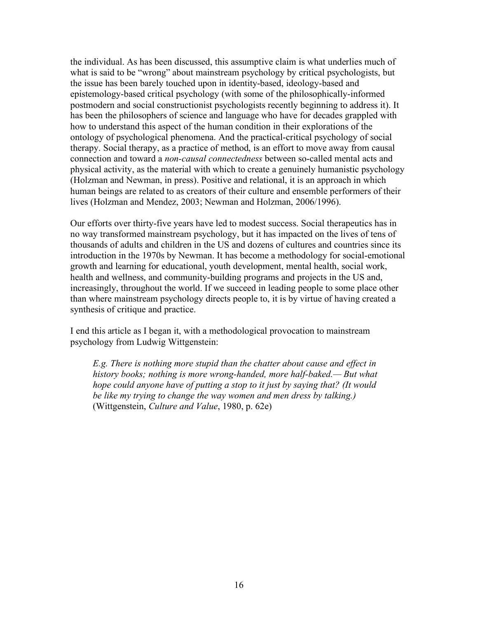the individual. As has been discussed, this assumptive claim is what underlies much of what is said to be "wrong" about mainstream psychology by critical psychologists, but the issue has been barely touched upon in identity-based, ideology-based and epistemology-based critical psychology (with some of the philosophically-informed postmodern and social constructionist psychologists recently beginning to address it). It has been the philosophers of science and language who have for decades grappled with how to understand this aspect of the human condition in their explorations of the ontology of psychological phenomena. And the practical-critical psychology of social therapy. Social therapy, as a practice of method, is an effort to move away from causal connection and toward a *non-causal connectedness* between so-called mental acts and physical activity, as the material with which to create a genuinely humanistic psychology (Holzman and Newman, in press). Positive and relational, it is an approach in which human beings are related to as creators of their culture and ensemble performers of their lives (Holzman and Mendez, 2003; Newman and Holzman, 2006/1996).

Our efforts over thirty-five years have led to modest success. Social therapeutics has in no way transformed mainstream psychology, but it has impacted on the lives of tens of thousands of adults and children in the US and dozens of cultures and countries since its introduction in the 1970s by Newman. It has become a methodology for social-emotional growth and learning for educational, youth development, mental health, social work, health and wellness, and community-building programs and projects in the US and, increasingly, throughout the world. If we succeed in leading people to some place other than where mainstream psychology directs people to, it is by virtue of having created a synthesis of critique and practice.

I end this article as I began it, with a methodological provocation to mainstream psychology from Ludwig Wittgenstein:

*E.g. There is nothing more stupid than the chatter about cause and effect in history books; nothing is more wrong-handed, more half-baked.— But what hope could anyone have of putting a stop to it just by saying that? (It would be like my trying to change the way women and men dress by talking.)*  (Wittgenstein, *Culture and Value*, 1980, p. 62e)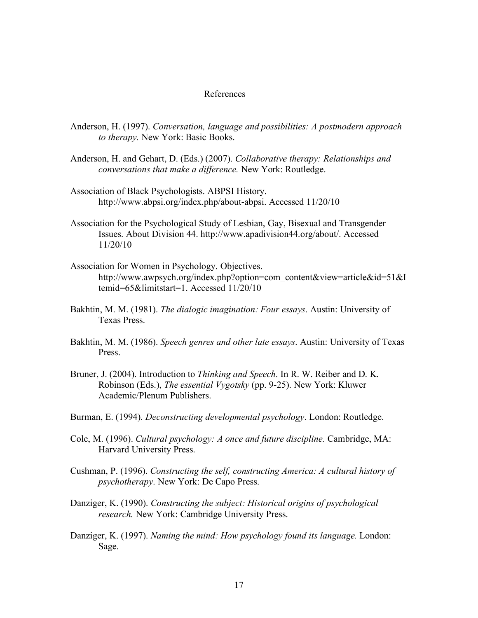#### References

- Anderson, H. (1997). *Conversation, language and possibilities: A postmodern approach to therapy.* New York: Basic Books.
- Anderson, H. and Gehart, D. (Eds.) (2007). *Collaborative therapy: Relationships and conversations that make a difference.* New York: Routledge.
- Association of Black Psychologists. ABPSI History. http://www.abpsi.org/index.php/about-abpsi. Accessed 11/20/10
- Association for the Psychological Study of Lesbian, Gay, Bisexual and Transgender Issues. About Division 44. http://www.apadivision44.org/about/. Accessed 11/20/10
- Association for Women in Psychology. Objectives. http://www.awpsych.org/index.php?option=com\_content&view=article&id=51&I temid=65&limitstart=1. Accessed 11/20/10
- Bakhtin, M. M. (1981). *The dialogic imagination: Four essays*. Austin: University of Texas Press.
- Bakhtin, M. M. (1986). *Speech genres and other late essays*. Austin: University of Texas Press.
- Bruner, J. (2004). Introduction to *Thinking and Speech*. In R. W. Reiber and D. K. Robinson (Eds.), *The essential Vygotsky* (pp. 9-25). New York: Kluwer Academic/Plenum Publishers.
- Burman, E. (1994). *Deconstructing developmental psychology*. London: Routledge.
- Cole, M. (1996). *Cultural psychology: A once and future discipline.* Cambridge, MA: Harvard University Press.
- Cushman, P. (1996). *Constructing the self, constructing America: A cultural history of psychotherapy*. New York: De Capo Press.
- Danziger, K. (1990). *Constructing the subject: Historical origins of psychological research.* New York: Cambridge University Press.
- Danziger, K. (1997). *Naming the mind: How psychology found its language.* London: Sage.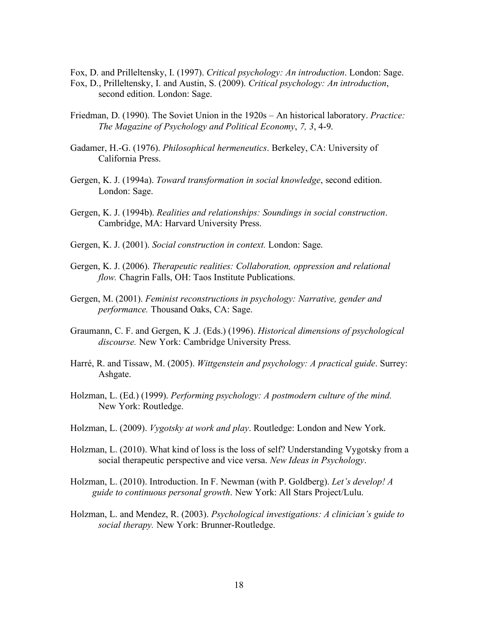Fox, D. and Prilleltensky, I. (1997). *Critical psychology: An introduction*. London: Sage. Fox, D., Prilleltensky, I. and Austin, S. (2009). *Critical psychology: An introduction*, second edition. London: Sage.

- Friedman, D. (1990). The Soviet Union in the 1920s An historical laboratory. *Practice: The Magazine of Psychology and Political Economy*, *7, 3*, 4-9.
- Gadamer, H.-G. (1976). *Philosophical hermeneutics*. Berkeley, CA: University of California Press.
- Gergen, K. J. (1994a). *Toward transformation in social knowledge*, second edition. London: Sage.
- Gergen, K. J. (1994b). *Realities and relationships: Soundings in social construction*. Cambridge, MA: Harvard University Press.
- Gergen, K. J. (2001). *Social construction in context.* London: Sage.
- Gergen, K. J. (2006). *Therapeutic realities: Collaboration, oppression and relational flow.* Chagrin Falls, OH: Taos Institute Publications.
- Gergen, M. (2001). *Feminist reconstructions in psychology: Narrative, gender and performance.* Thousand Oaks, CA: Sage.
- Graumann, C. F. and Gergen, K .J. (Eds.) (1996). *Historical dimensions of psychological discourse.* New York: Cambridge University Press.
- Harré, R. and Tissaw, M. (2005). *Wittgenstein and psychology: A practical guide*. Surrey: Ashgate.
- Holzman, L. (Ed.) (1999). *Performing psychology: A postmodern culture of the mind.*  New York: Routledge.
- Holzman, L. (2009). *Vygotsky at work and play*. Routledge: London and New York.
- Holzman, L. (2010). What kind of loss is the loss of self? Understanding Vygotsky from a social therapeutic perspective and vice versa. *New Ideas in Psychology*.
- Holzman, L. (2010). Introduction. In F. Newman (with P. Goldberg). *Let's develop! A guide to continuous personal growth*. New York: All Stars Project/Lulu.
- Holzman, L. and Mendez, R. (2003). *Psychological investigations: A clinician's guide to social therapy.* New York: Brunner-Routledge.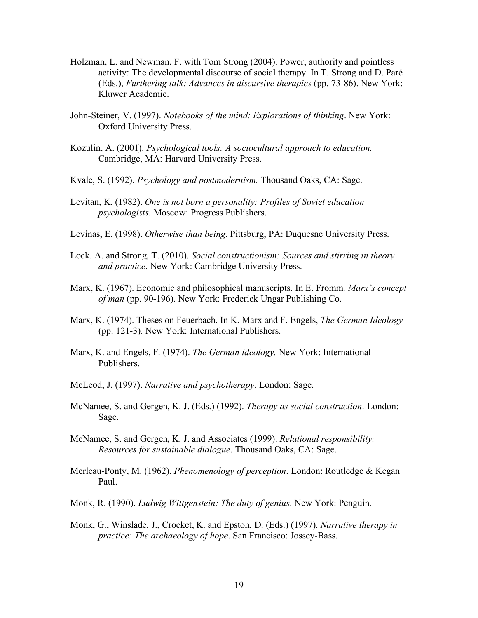- Holzman, L. and Newman, F. with Tom Strong (2004). Power, authority and pointless activity: The developmental discourse of social therapy. In T. Strong and D. Paré (Eds.), *Furthering talk: Advances in discursive therapies* (pp. 73-86). New York: Kluwer Academic.
- John-Steiner, V. (1997). *Notebooks of the mind: Explorations of thinking*. New York: Oxford University Press.
- Kozulin, A. (2001). *Psychological tools: A sociocultural approach to education.* Cambridge, MA: Harvard University Press.
- Kvale, S. (1992). *Psychology and postmodernism.* Thousand Oaks, CA: Sage.
- Levitan, K. (1982). *One is not born a personality: Profiles of Soviet education psychologists*. Moscow: Progress Publishers.
- Levinas, E. (1998). *Otherwise than being*. Pittsburg, PA: Duquesne University Press.
- Lock. A. and Strong, T. (2010). *Social constructionism: Sources and stirring in theory and practice*. New York: Cambridge University Press.
- Marx, K. (1967). Economic and philosophical manuscripts. In E. Fromm*, Marx's concept of man* (pp. 90-196). New York: Frederick Ungar Publishing Co.
- Marx, K. (1974). Theses on Feuerbach. In K. Marx and F. Engels, *The German Ideology*  (pp. 121-3)*.* New York: International Publishers.
- Marx, K. and Engels, F. (1974). *The German ideology.* New York: International Publishers.
- McLeod, J. (1997). *Narrative and psychotherapy*. London: Sage.
- McNamee, S. and Gergen, K. J. (Eds.) (1992). *Therapy as social construction*. London: Sage.
- McNamee, S. and Gergen, K. J. and Associates (1999). *Relational responsibility: Resources for sustainable dialogue*. Thousand Oaks, CA: Sage.
- Merleau-Ponty, M. (1962). *Phenomenology of perception*. London: Routledge & Kegan Paul.
- Monk, R. (1990). *Ludwig Wittgenstein: The duty of genius*. New York: Penguin.
- Monk, G., Winslade, J., Crocket, K. and Epston, D. (Eds.) (1997). *Narrative therapy in practice: The archaeology of hope*. San Francisco: Jossey-Bass.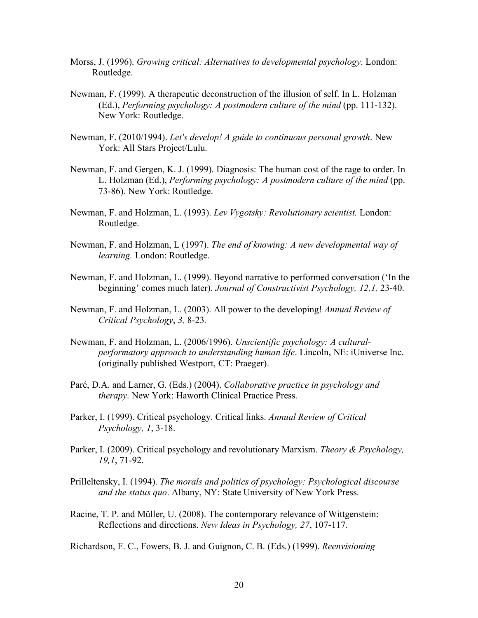- Morss, J. (1996). *Growing critical: Alternatives to developmental psychology*. London: Routledge.
- Newman, F. (1999). A therapeutic deconstruction of the illusion of self. In L. Holzman (Ed.), *Performing psychology: A postmodern culture of the mind* (pp. 111-132). New York: Routledge.
- Newman, F. (2010/1994). *Let's develop! A guide to continuous personal growth*. New York: All Stars Project/Lulu.
- Newman, F. and Gergen, K. J. (1999). Diagnosis: The human cost of the rage to order. In L. Holzman (Ed.), *Performing psychology: A postmodern culture of the mind* (pp. 73-86). New York: Routledge.
- Newman, F. and Holzman, L. (1993). *Lev Vygotsky: Revolutionary scientist.* London: Routledge.
- Newman, F. and Holzman, L (1997). *The end of knowing: A new developmental way of learning.* London: Routledge.
- Newman, F. and Holzman, L. (1999). Beyond narrative to performed conversation ('In the beginning' comes much later). *Journal of Constructivist Psychology, 12,1,* 23-40.
- Newman, F. and Holzman, L. (2003). All power to the developing! *Annual Review of Critical Psychology*, *3,* 8-23*.*
- Newman, F. and Holzman, L. (2006/1996). *Unscientific psychology: A culturalperformatory approach to understanding human life*. Lincoln, NE: iUniverse Inc. (originally published Westport, CT: Praeger).
- Paré, D.A. and Larner, G. (Eds.) (2004). *Collaborative practice in psychology and therapy*. New York: Haworth Clinical Practice Press.
- Parker, I. (1999). Critical psychology. Critical links. *Annual Review of Critical Psychology, 1*, 3-18.
- Parker, I. (2009). Critical psychology and revolutionary Marxism. *Theory & Psychology, 19,1*, 71-92.
- Prilleltensky, I. (1994). *The morals and politics of psychology: Psychological discourse and the status quo*. Albany, NY: State University of New York Press.
- Racine, T. P. and Müller, U. (2008). The contemporary relevance of Wittgenstein: Reflections and directions. *New Ideas in Psychology, 27*, 107-117.

Richardson, F. C., Fowers, B. J. and Guignon, C. B. (Eds.) (1999). *Reenvisioning*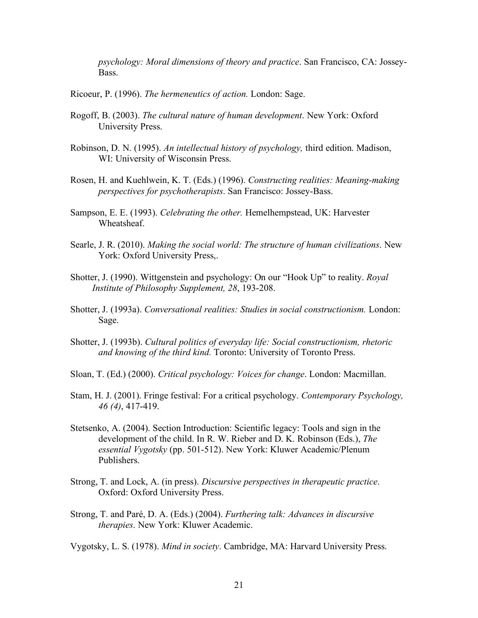*psychology: Moral dimensions of theory and practice*. San Francisco, CA: Jossey-Bass.

Ricoeur, P. (1996). *The hermeneutics of action.* London: Sage.

- Rogoff, B. (2003). *The cultural nature of human development*. New York: Oxford University Press.
- Robinson, D. N. (1995). *An intellectual history of psychology,* third edition. Madison, WI: University of Wisconsin Press.
- Rosen, H. and Kuehlwein, K. T. (Eds.) (1996). *Constructing realities: Meaning-making perspectives for psychotherapists*. San Francisco: Jossey-Bass.
- Sampson, E. E. (1993). *Celebrating the other.* Hemelhempstead, UK: Harvester Wheatsheaf.
- Searle, J. R. (2010). *Making the social world: The structure of human civilizations*. New York: Oxford University Press,.
- Shotter, J. (1990). Wittgenstein and psychology: On our "Hook Up" to reality. *Royal Institute of Philosophy Supplement, 28*, 193-208.
- Shotter, J. (1993a). *Conversational realities: Studies in social constructionism.* London: Sage.
- Shotter, J. (1993b). *Cultural politics of everyday life: Social constructionism, rhetoric and knowing of the third kind.* Toronto: University of Toronto Press.
- Sloan, T. (Ed.) (2000). *Critical psychology: Voices for change*. London: Macmillan.
- Stam, H. J. (2001). Fringe festival: For a critical psychology. *Contemporary Psychology, 46 (4)*, 417-419.
- Stetsenko, A. (2004). Section Introduction: Scientific legacy: Tools and sign in the development of the child. In R. W. Rieber and D. K. Robinson (Eds.), *The essential Vygotsky* (pp. 501-512). New York: Kluwer Academic/Plenum Publishers.
- Strong, T. and Lock, A. (in press). *Discursive perspectives in therapeutic practice*. Oxford: Oxford University Press.
- Strong, T. and Paré, D. A. (Eds.) (2004). *Furthering talk: Advances in discursive therapies*. New York: Kluwer Academic.

Vygotsky, L. S. (1978). *Mind in society*. Cambridge, MA: Harvard University Press.